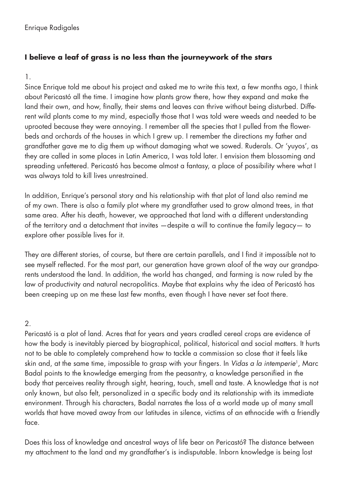# **I believe a leaf of grass is no less than the journeywork of the stars**

# 1.

Since Enrique told me about his project and asked me to write this text, a few months ago, I think about Pericastó all the time. I imagine how plants grow there, how they expand and make the land their own, and how, finally, their stems and leaves can thrive without being disturbed. Different wild plants come to my mind, especially those that I was told were weeds and needed to be uprooted because they were annoying. I remember all the species that I pulled from the flowerbeds and orchards of the houses in which I grew up. I remember the directions my father and grandfather gave me to dig them up without damaging what we sowed. Ruderals. Or 'yuyos', as they are called in some places in Latin America, I was told later. I envision them blossoming and spreading unfettered. Pericastó has become almost a fantasy, a place of possibility where what I was always told to kill lives unrestrained.

In addition, Enrique's personal story and his relationship with that plot of land also remind me of my own. There is also a family plot where my grandfather used to grow almond trees, in that same area. After his death, however, we approached that land with a different understanding of the territory and a detachment that invites —despite a will to continue the family legacy— to explore other possible lives for it.

They are different stories, of course, but there are certain parallels, and I find it impossible not to see myself reflected. For the most part, our generation have grown aloof of the way our grandparents understood the land. In addition, the world has changed, and farming is now ruled by the law of productivity and natural necropolitics. Maybe that explains why the idea of Pericastó has been creeping up on me these last few months, even though I have never set foot there.

# 2.

Pericastó is a plot of land. Acres that for years and years cradled cereal crops are evidence of how the body is inevitably pierced by biographical, political, historical and social matters. It hurts not to be able to completely comprehend how to tackle a commission so close that it feels like skin and, at the same time, impossible to grasp with your fingers. In *Vidas a la intemperie*1, Marc Badal points to the knowledge emerging from the peasantry, a knowledge personified in the body that perceives reality through sight, hearing, touch, smell and taste. A knowledge that is not only known, but also felt, personalized in a specific body and its relationship with its immediate environment. Through his characters, Badal narrates the loss of a world made up of many small worlds that have moved away from our latitudes in silence, victims of an ethnocide with a friendly face.

Does this loss of knowledge and ancestral ways of life bear on Pericastó? The distance between my attachment to the land and my grandfather's is indisputable. Inborn knowledge is being lost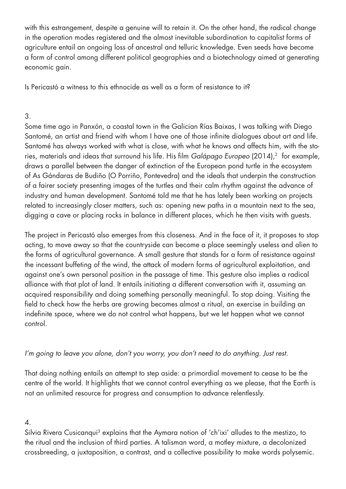with this estrangement, despite a genuine will to retain it. On the other hand, the radical change in the operation modes registered and the almost inevitable subordination to capitalist forms of agriculture entail an ongoing loss of ancestral and telluric knowledge. Even seeds have become a form of control among different political geographies and a biotechnology aimed at generating economic gain.

Is Pericastó a witness to this ethnocide as well as a form of resistance to it?

## 3.

Some time ago in Panxón, a coastal town in the Galician Rías Baixas, I was talking with Diego Santomé, an artist and friend with whom I have one of those infinite dialogues about art and life. Santomé has always worked with what is close, with what he knows and affects him, with the stories, materials and ideas that surround his life. His film *Galápago Europeo* (2014),<sup>2</sup> for example, draws a parallel between the danger of extinction of the European pond turtle in the ecosystem of As Gándaras de Budiño (O Porriño, Pontevedra) and the ideals that underpin the construction of a fairer society presenting images of the turtles and their calm rhythm against the advance of industry and human development. Santomé told me that he has lately been working on projects related to increasingly closer matters, such as: opening new paths in a mountain next to the sea, digging a cave or placing rocks in balance in different places, which he then visits with guests.

The project in Pericastó also emerges from this closeness. And in the face of it, it proposes to stop acting, to move away so that the countryside can become a place seemingly useless and alien to the forms of agricultural governance. A small gesture that stands for a form of resistance against the incessant buffeting of the wind, the attack of modern forms of agricultural exploitation, and against one's own personal position in the passage of time. This gesture also implies a radical alliance with that plot of land. It entails initiating a different conversation with it, assuming an acquired responsibility and doing something personally meaningful. To stop doing. Visiting the field to check how the herbs are growing becomes almost a ritual, an exercise in building an indefinite space, where we do not control what happens, but we let happen what we cannot control.

*I'm going to leave you alone, don't you worry, you don't need to do anything. Just rest.* 

That doing nothing entails an attempt to step aside: a primordial movement to cease to be the centre of the world. It highlights that we cannot control everything as we please, that the Earth is not an unlimited resource for progress and consumption to advance relentlessly.

### 4.

Silvia Rivera Cusicanqui<sup>3</sup> explains that the Aymara notion of 'ch'ixi' alludes to the mestizo, to the ritual and the inclusion of third parties. A talisman word, a motley mixture, a decolonized crossbreeding, a juxtaposition, a contrast, and a collective possibility to make words polysemic.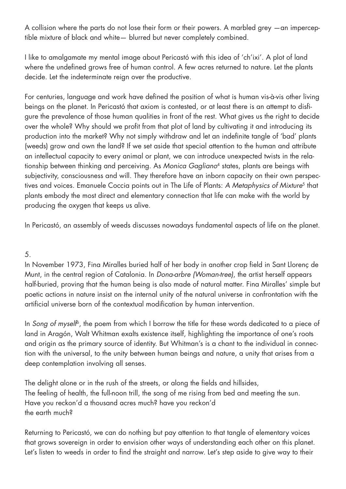A collision where the parts do not lose their form or their powers. A marbled grey —an imperceptible mixture of black and white— blurred but never completely combined.

I like to amalgamate my mental image about Pericastó with this idea of 'ch'ixi'. A plot of land where the undefined grows free of human control. A few acres returned to nature. Let the plants decide. Let the indeterminate reign over the productive.

For centuries, language and work have defined the position of what is human vis-à-vis other living beings on the planet. In Pericastó that axiom is contested, or at least there is an attempt to disfigure the prevalence of those human qualities in front of the rest. What gives us the right to decide over the whole? Why should we profit from that plot of land by cultivating it and introducing its production into the market? Why not simply withdraw and let an indefinite tangle of 'bad' plants (weeds) grow and own the land? If we set aside that special attention to the human and attribute an intellectual capacity to every animal or plant, we can introduce unexpected twists in the relationship between thinking and perceiving. As *Monica Gagliano*4 states, plants are beings with subjectivity, consciousness and will. They therefore have an inborn capacity on their own perspectives and voices. Emanuele Coccia points out in The Life of Plants: *A Metaphysics of Mixture<sup>5</sup>* that plants embody the most direct and elementary connection that life can make with the world by producing the oxygen that keeps us alive.

In Pericastó, an assembly of weeds discusses nowadays fundamental aspects of life on the planet.

### 5.

In November 1973, Fina Miralles buried half of her body in another crop field in Sant Llorenç de Munt, in the central region of Catalonia. In *Dona-arbre (Woman-tree)*, the artist herself appears half-buried, proving that the human being is also made of natural matter. Fina Miralles' simple but poetic actions in nature insist on the internal unity of the natural universe in confrontation with the artificial universe born of the contextual modification by human intervention.

In *Song of myself<sup>6</sup>*, the poem from which I borrow the title for these words dedicated to a piece of land in Aragón, Walt Whitman exalts existence itself, highlighting the importance of one's roots and origin as the primary source of identity. But Whitman's is a chant to the individual in connection with the universal, to the unity between human beings and nature, a unity that arises from a deep contemplation involving all senses.

The delight alone or in the rush of the streets, or along the fields and hillsides, The feeling of health, the full-noon trill, the song of me rising from bed and meeting the sun. Have you reckon'd a thousand acres much? have you reckon'd the earth much?

Returning to Pericastó, we can do nothing but pay attention to that tangle of elementary voices that grows sovereign in order to envision other ways of understanding each other on this planet. Let's listen to weeds in order to find the straight and narrow. Let's step aside to give way to their